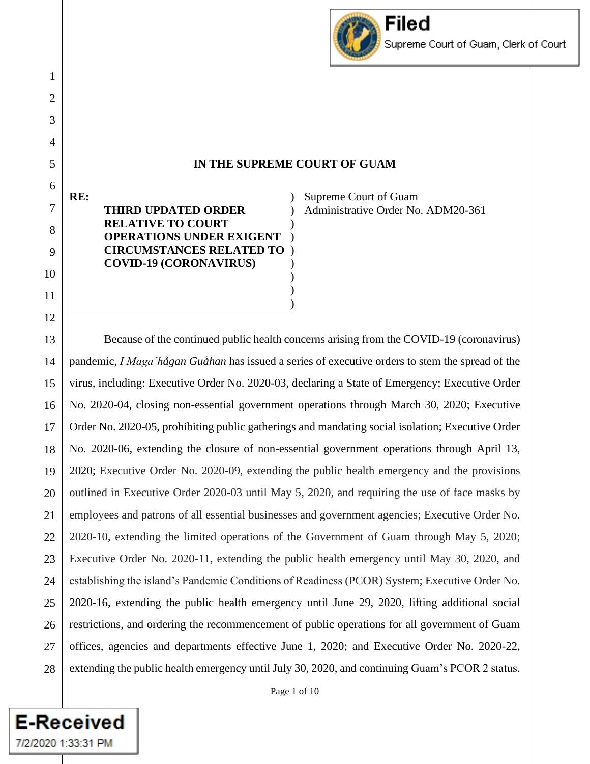

## **IN THE SUPREME COURT OF GUAM**

) ) ) ) ) )

 $\lambda$ ) ) Supreme Court of Guam Administrative Order No. ADM20-361

Because of the continued public health concerns arising from the COVID-19 (coronavirus) pandemic, *I Maga'hågan Guåhan* has issued a series of executive orders to stem the spread of the virus, including: Executive Order No. 2020-03, declaring a State of Emergency; Executive Order No. 2020-04, closing non-essential government operations through March 30, 2020; Executive Order No. 2020-05, prohibiting public gatherings and mandating social isolation; Executive Order No. 2020-06, extending the closure of non-essential government operations through April 13, 2020; Executive Order No. 2020-09, extending the public health emergency and the provisions outlined in Executive Order 2020-03 until May 5, 2020, and requiring the use of face masks by employees and patrons of all essential businesses and government agencies; Executive Order No. 2020-10, extending the limited operations of the Government of Guam through May 5, 2020; Executive Order No. 2020-11, extending the public health emergency until May 30, 2020, and establishing the island's Pandemic Conditions of Readiness (PCOR) System; Executive Order No. 2020-16, extending the public health emergency until June 29, 2020, lifting additional social restrictions, and ordering the recommencement of public operations for all government of Guam offices, agencies and departments effective June 1, 2020; and Executive Order No. 2020-22, extending the public health emergency until July 30, 2020, and continuing Guam's PCOR 2 status.

**E-Received** 

7/2/2020 1:33:31 PM

1

**RE:**

**THIRD UPDATED ORDER RELATIVE TO COURT** 

**OPERATIONS UNDER EXIGENT CIRCUMSTANCES RELATED TO COVID-19 (CORONAVIRUS)**

Page 1 of 10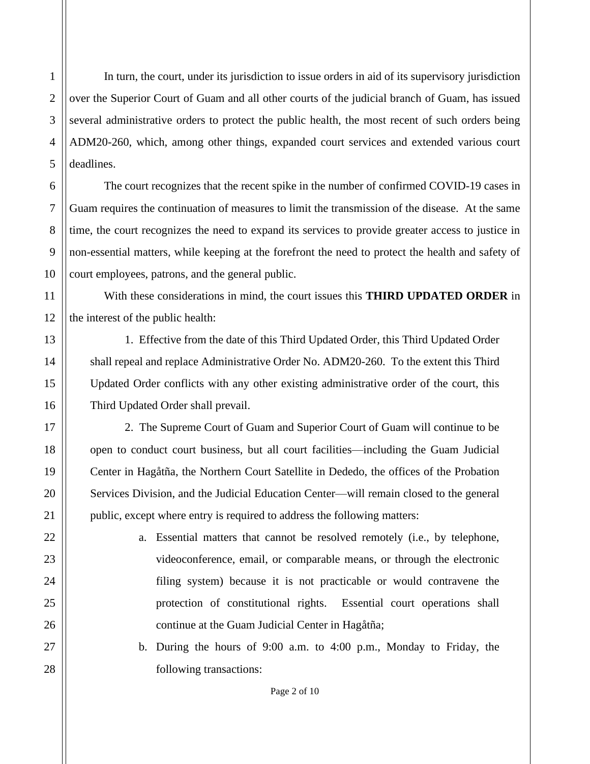In turn, the court, under its jurisdiction to issue orders in aid of its supervisory jurisdiction over the Superior Court of Guam and all other courts of the judicial branch of Guam, has issued several administrative orders to protect the public health, the most recent of such orders being ADM20-260, which, among other things, expanded court services and extended various court deadlines.

The court recognizes that the recent spike in the number of confirmed COVID-19 cases in Guam requires the continuation of measures to limit the transmission of the disease. At the same time, the court recognizes the need to expand its services to provide greater access to justice in non-essential matters, while keeping at the forefront the need to protect the health and safety of court employees, patrons, and the general public.

With these considerations in mind, the court issues this **THIRD UPDATED ORDER** in the interest of the public health:

1. Effective from the date of this Third Updated Order, this Third Updated Order shall repeal and replace Administrative Order No. ADM20-260. To the extent this Third Updated Order conflicts with any other existing administrative order of the court, this Third Updated Order shall prevail.

2. The Supreme Court of Guam and Superior Court of Guam will continue to be open to conduct court business, but all court facilities—including the Guam Judicial Center in Hagåtña, the Northern Court Satellite in Dededo, the offices of the Probation Services Division, and the Judicial Education Center—will remain closed to the general public, except where entry is required to address the following matters:

> a. Essential matters that cannot be resolved remotely (i.e., by telephone, videoconference, email, or comparable means, or through the electronic filing system) because it is not practicable or would contravene the protection of constitutional rights. Essential court operations shall continue at the Guam Judicial Center in Hagåtña;

> b. During the hours of 9:00 a.m. to 4:00 p.m., Monday to Friday, the following transactions:

1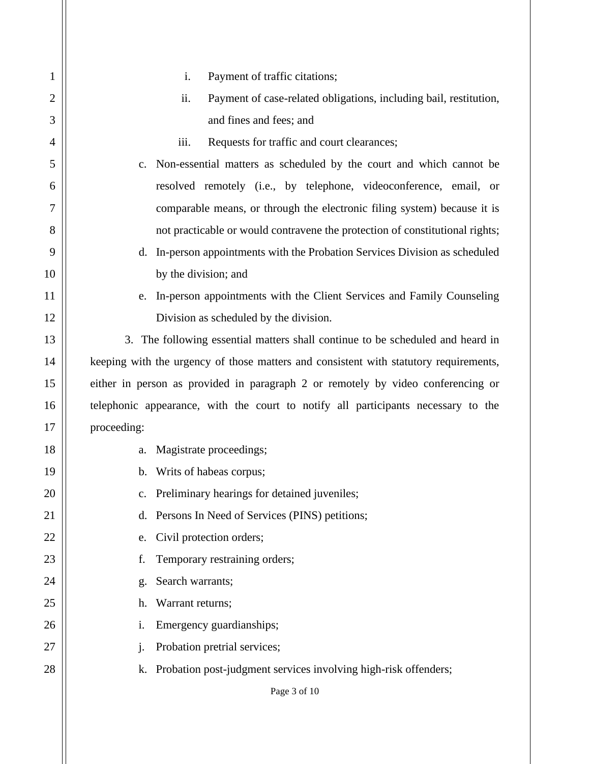| $\mathbf{1}$   | Payment of traffic citations;<br>i.                                                   |
|----------------|---------------------------------------------------------------------------------------|
| $\overline{2}$ | ii.<br>Payment of case-related obligations, including bail, restitution,              |
| 3              | and fines and fees; and                                                               |
| 4              | iii.<br>Requests for traffic and court clearances;                                    |
| 5              | Non-essential matters as scheduled by the court and which cannot be<br>$c_{\cdot}$    |
| 6              | resolved remotely (i.e., by telephone, videoconference, email, or                     |
| 7              | comparable means, or through the electronic filing system) because it is              |
| 8              | not practicable or would contravene the protection of constitutional rights;          |
| 9              | In-person appointments with the Probation Services Division as scheduled<br>d.        |
| 10             | by the division; and                                                                  |
| 11             | In-person appointments with the Client Services and Family Counseling<br>e.           |
| 12             | Division as scheduled by the division.                                                |
| 13             | 3. The following essential matters shall continue to be scheduled and heard in        |
| 14             | keeping with the urgency of those matters and consistent with statutory requirements, |
| 15             | either in person as provided in paragraph 2 or remotely by video conferencing or      |
| 16             | telephonic appearance, with the court to notify all participants necessary to the     |
| 17             | proceeding:                                                                           |
| 18             | Magistrate proceedings;<br>a.                                                         |
| 19             | Writs of habeas corpus;<br>$\mathbf b$ .                                              |
| 20             | Preliminary hearings for detained juveniles;<br>c.                                    |
| 21             | Persons In Need of Services (PINS) petitions;<br>d.                                   |
| 22             | Civil protection orders;<br>e.                                                        |
| 23             | Temporary restraining orders;<br>f.                                                   |
| 24             | Search warrants;<br>g.                                                                |
| 25             | Warrant returns;<br>h.                                                                |
| 26             | Emergency guardianships;<br>i.                                                        |
| 27             | Probation pretrial services;<br>$\mathbf{1}$                                          |
| 28             | Probation post-judgment services involving high-risk offenders;<br>k.                 |
|                | Page 3 of 10                                                                          |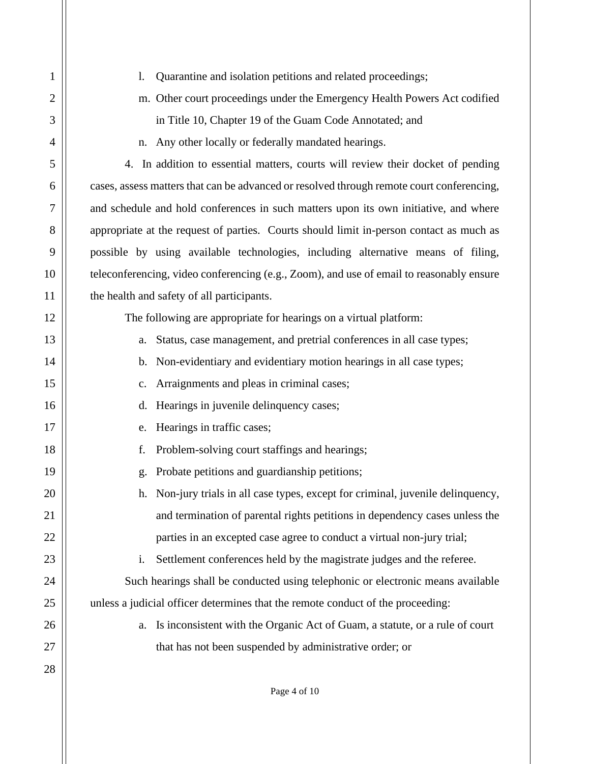| $\mathbf{1}$   | $\mathbf{l}$ .<br>Quarantine and isolation petitions and related proceedings;             |
|----------------|-------------------------------------------------------------------------------------------|
| $\overline{2}$ | m. Other court proceedings under the Emergency Health Powers Act codified                 |
| 3              | in Title 10, Chapter 19 of the Guam Code Annotated; and                                   |
| $\overline{4}$ | Any other locally or federally mandated hearings.<br>n.                                   |
| 5              | 4. In addition to essential matters, courts will review their docket of pending           |
| 6              | cases, assess matters that can be advanced or resolved through remote court conferencing, |
| 7              | and schedule and hold conferences in such matters upon its own initiative, and where      |
| 8              | appropriate at the request of parties. Courts should limit in-person contact as much as   |
| 9              | possible by using available technologies, including alternative means of filing,          |
| 10             | teleconferencing, video conferencing (e.g., Zoom), and use of email to reasonably ensure  |
| 11             | the health and safety of all participants.                                                |
| 12             | The following are appropriate for hearings on a virtual platform:                         |
| 13             | Status, case management, and pretrial conferences in all case types;<br>a.                |
| 14             | Non-evidentiary and evidentiary motion hearings in all case types;<br>b.                  |
| 15             | Arraignments and pleas in criminal cases;<br>$\mathbf{c}$ .                               |
| 16             | Hearings in juvenile delinquency cases;<br>d.                                             |
| 17             | Hearings in traffic cases;<br>e.                                                          |
| 18             | f.<br>Problem-solving court staffings and hearings;                                       |
| 19             | Probate petitions and guardianship petitions;<br>g.                                       |
| 20             | Non-jury trials in all case types, except for criminal, juvenile delinquency,<br>h.       |
| 21             | and termination of parental rights petitions in dependency cases unless the               |
| 22             | parties in an excepted case agree to conduct a virtual non-jury trial;                    |
| 23             | Settlement conferences held by the magistrate judges and the referee.<br>i.               |
| 24             | Such hearings shall be conducted using telephonic or electronic means available           |
| 25             | unless a judicial officer determines that the remote conduct of the proceeding:           |
| 26             | Is inconsistent with the Organic Act of Guam, a statute, or a rule of court<br>a.         |
| 27             | that has not been suspended by administrative order; or                                   |
| 28             |                                                                                           |
|                | Page 4 of 10                                                                              |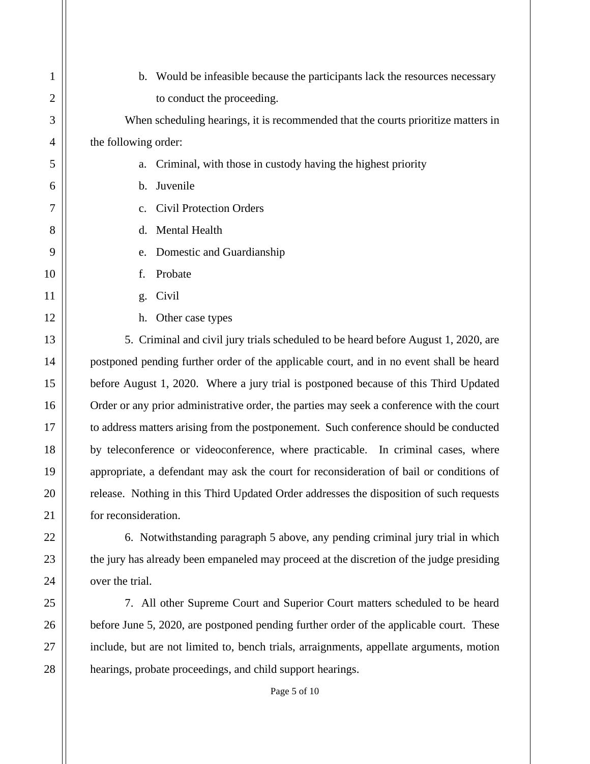| $\mathbf{1}$   | Would be infeasible because the participants lack the resources necessary<br>b.           |
|----------------|-------------------------------------------------------------------------------------------|
| $\overline{2}$ | to conduct the proceeding.                                                                |
| 3              | When scheduling hearings, it is recommended that the courts prioritize matters in         |
| $\overline{4}$ | the following order:                                                                      |
| 5              | Criminal, with those in custody having the highest priority<br>a.                         |
| 6              | Juvenile<br>b.                                                                            |
| 7              | <b>Civil Protection Orders</b><br>$\mathbf{c}$ .                                          |
| 8              | Mental Health<br>d.                                                                       |
| 9              | Domestic and Guardianship<br>e.                                                           |
| 10             | Probate<br>f.                                                                             |
| 11             | Civil<br>g.                                                                               |
| 12             | Other case types<br>h.                                                                    |
| 13             | 5. Criminal and civil jury trials scheduled to be heard before August 1, 2020, are        |
| 14             | postponed pending further order of the applicable court, and in no event shall be heard   |
| 15             | before August 1, 2020. Where a jury trial is postponed because of this Third Updated      |
| 16             | Order or any prior administrative order, the parties may seek a conference with the court |
| 17             | to address matters arising from the postponement. Such conference should be conducted     |
| 18             | by teleconference or videoconference, where practicable. In criminal cases, where         |
| 19             | appropriate, a defendant may ask the court for reconsideration of bail or conditions of   |
| 20             | release. Nothing in this Third Updated Order addresses the disposition of such requests   |
| 21             | for reconsideration.                                                                      |
| 22             | 6. Notwithstanding paragraph 5 above, any pending criminal jury trial in which            |
| 23             | the jury has already been empaneled may proceed at the discretion of the judge presiding  |
| 24             | over the trial.                                                                           |
| 25             | 7. All other Supreme Court and Superior Court matters scheduled to be heard               |
| 26             | before June 5, 2020, are postponed pending further order of the applicable court. These   |
| 27             | include, but are not limited to, bench trials, arraignments, appellate arguments, motion  |
| 28             | hearings, probate proceedings, and child support hearings.                                |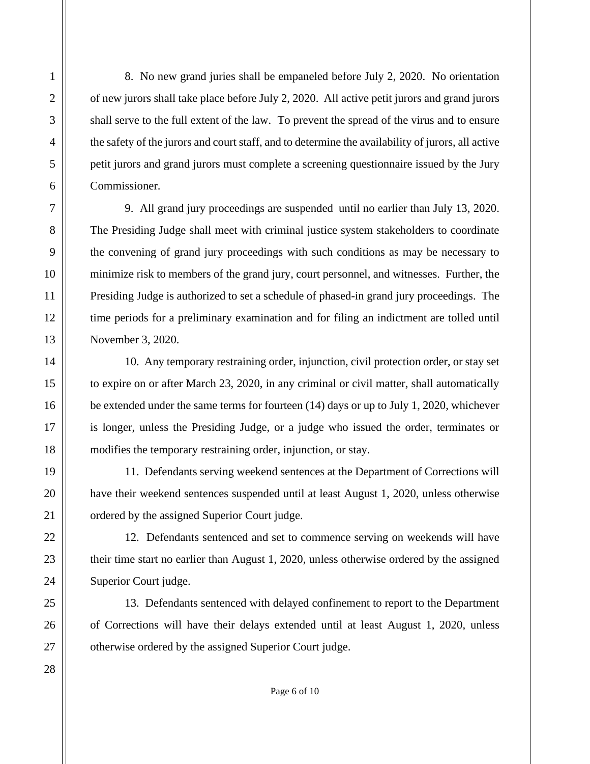8. No new grand juries shall be empaneled before July 2, 2020. No orientation of new jurors shall take place before July 2, 2020. All active petit jurors and grand jurors shall serve to the full extent of the law. To prevent the spread of the virus and to ensure the safety of the jurors and court staff, and to determine the availability of jurors, all active petit jurors and grand jurors must complete a screening questionnaire issued by the Jury Commissioner.

9. All grand jury proceedings are suspended until no earlier than July 13, 2020. The Presiding Judge shall meet with criminal justice system stakeholders to coordinate the convening of grand jury proceedings with such conditions as may be necessary to minimize risk to members of the grand jury, court personnel, and witnesses. Further, the Presiding Judge is authorized to set a schedule of phased-in grand jury proceedings. The time periods for a preliminary examination and for filing an indictment are tolled until November 3, 2020.

10. Any temporary restraining order, injunction, civil protection order, or stay set to expire on or after March 23, 2020, in any criminal or civil matter, shall automatically be extended under the same terms for fourteen (14) days or up to July 1, 2020, whichever is longer, unless the Presiding Judge, or a judge who issued the order, terminates or modifies the temporary restraining order, injunction, or stay.

11. Defendants serving weekend sentences at the Department of Corrections will have their weekend sentences suspended until at least August 1, 2020, unless otherwise ordered by the assigned Superior Court judge.

12. Defendants sentenced and set to commence serving on weekends will have their time start no earlier than August 1, 2020, unless otherwise ordered by the assigned Superior Court judge.

13. Defendants sentenced with delayed confinement to report to the Department of Corrections will have their delays extended until at least August 1, 2020, unless otherwise ordered by the assigned Superior Court judge.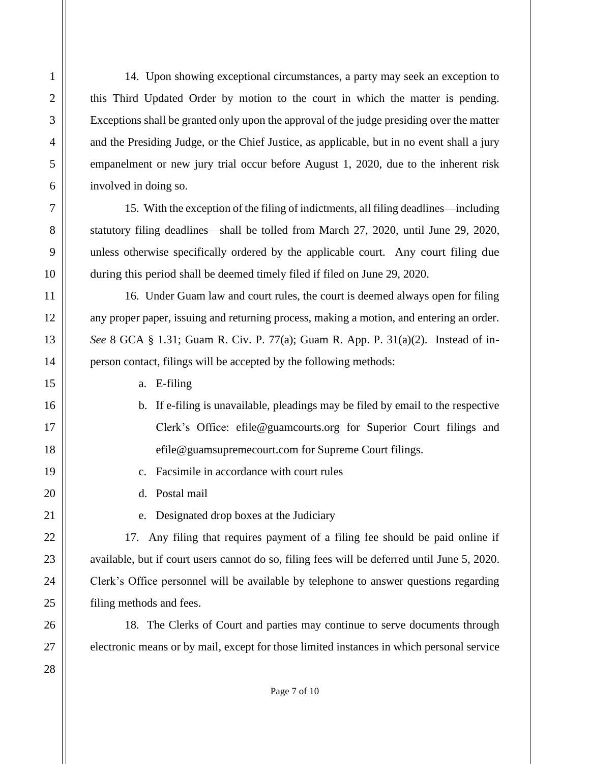14. Upon showing exceptional circumstances, a party may seek an exception to this Third Updated Order by motion to the court in which the matter is pending. Exceptions shall be granted only upon the approval of the judge presiding over the matter and the Presiding Judge, or the Chief Justice, as applicable, but in no event shall a jury empanelment or new jury trial occur before August 1, 2020, due to the inherent risk involved in doing so.

15. With the exception of the filing of indictments, all filing deadlines—including statutory filing deadlines—shall be tolled from March 27, 2020, until June 29, 2020, unless otherwise specifically ordered by the applicable court. Any court filing due during this period shall be deemed timely filed if filed on June 29, 2020.

16. Under Guam law and court rules, the court is deemed always open for filing any proper paper, issuing and returning process, making a motion, and entering an order. *See* 8 GCA § 1.31; Guam R. Civ. P. 77(a); Guam R. App. P. 31(a)(2). Instead of inperson contact, filings will be accepted by the following methods:

a. E-filing

- b. If e-filing is unavailable, pleadings may be filed by email to the respective Clerk's Office: efile@guamcourts.org for Superior Court filings and efile@guamsupremecourt.com for Supreme Court filings.
- c. Facsimile in accordance with court rules

d. Postal mail

e. Designated drop boxes at the Judiciary

17. Any filing that requires payment of a filing fee should be paid online if available, but if court users cannot do so, filing fees will be deferred until June 5, 2020. Clerk's Office personnel will be available by telephone to answer questions regarding filing methods and fees.

18. The Clerks of Court and parties may continue to serve documents through electronic means or by mail, except for those limited instances in which personal service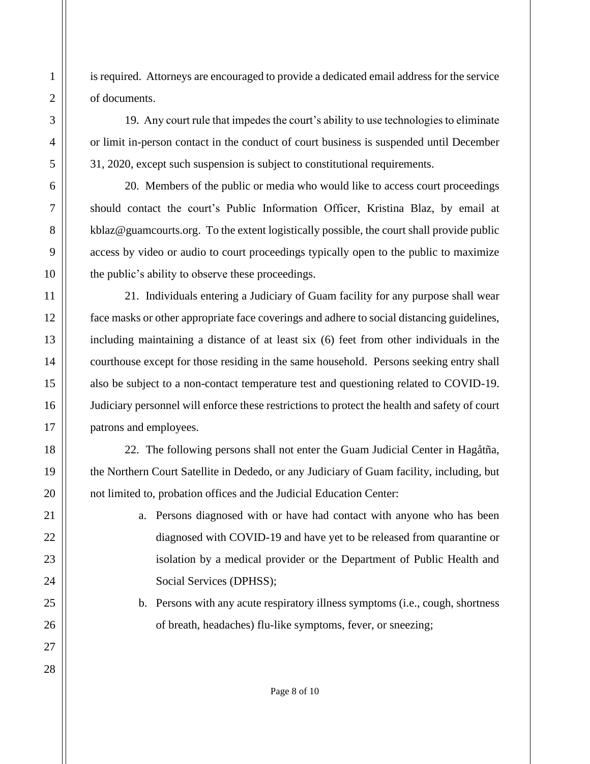is required. Attorneys are encouraged to provide a dedicated email address for the service of documents.

19. Any court rule that impedes the court's ability to use technologies to eliminate or limit in-person contact in the conduct of court business is suspended until December 31, 2020, except such suspension is subject to constitutional requirements.

20. Members of the public or media who would like to access court proceedings should contact the court's Public Information Officer, Kristina Blaz, by email at kblaz@guamcourts.org. To the extent logistically possible, the court shall provide public access by video or audio to court proceedings typically open to the public to maximize the public's ability to observe these proceedings.

21. Individuals entering a Judiciary of Guam facility for any purpose shall wear face masks or other appropriate face coverings and adhere to social distancing guidelines, including maintaining a distance of at least six (6) feet from other individuals in the courthouse except for those residing in the same household. Persons seeking entry shall also be subject to a non-contact temperature test and questioning related to COVID-19. Judiciary personnel will enforce these restrictions to protect the health and safety of court patrons and employees.

22. The following persons shall not enter the Guam Judicial Center in Hagåtña, the Northern Court Satellite in Dededo, or any Judiciary of Guam facility, including, but not limited to, probation offices and the Judicial Education Center:

- a. Persons diagnosed with or have had contact with anyone who has been diagnosed with COVID-19 and have yet to be released from quarantine or isolation by a medical provider or the Department of Public Health and Social Services (DPHSS);
- b. Persons with any acute respiratory illness symptoms (i.e., cough, shortness of breath, headaches) flu-like symptoms, fever, or sneezing;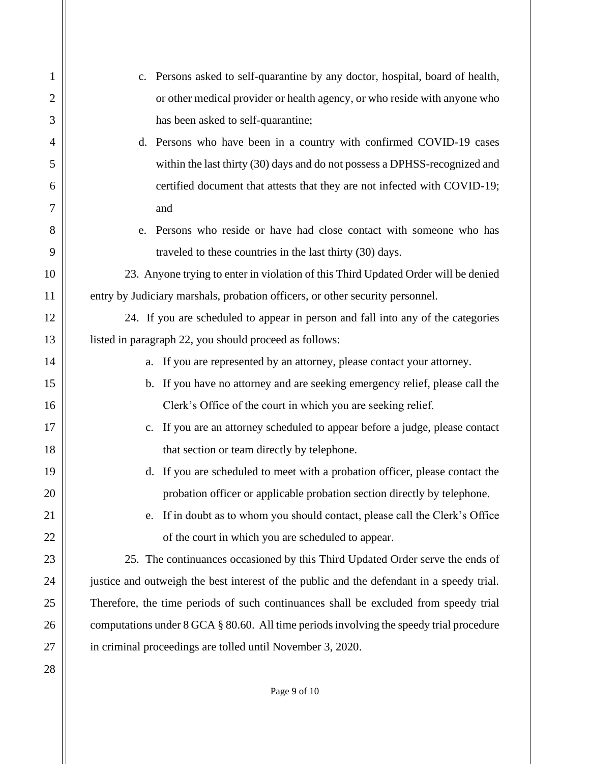| 1              | Persons asked to self-quarantine by any doctor, hospital, board of health,<br>$c_{\cdot}$ |
|----------------|-------------------------------------------------------------------------------------------|
| $\overline{2}$ | or other medical provider or health agency, or who reside with anyone who                 |
| 3              | has been asked to self-quarantine;                                                        |
| 4              | d. Persons who have been in a country with confirmed COVID-19 cases                       |
| 5              | within the last thirty (30) days and do not possess a DPHSS-recognized and                |
| 6              | certified document that attests that they are not infected with COVID-19;                 |
| 7              | and                                                                                       |
| 8              | e. Persons who reside or have had close contact with someone who has                      |
| 9              | traveled to these countries in the last thirty (30) days.                                 |
| 10             | 23. Anyone trying to enter in violation of this Third Updated Order will be denied        |
| 11             | entry by Judiciary marshals, probation officers, or other security personnel.             |
| 12             | 24. If you are scheduled to appear in person and fall into any of the categories          |
| 13             | listed in paragraph 22, you should proceed as follows:                                    |
| 14             | If you are represented by an attorney, please contact your attorney.<br>a.                |
| 15             | b. If you have no attorney and are seeking emergency relief, please call the              |
| 16             | Clerk's Office of the court in which you are seeking relief.                              |
| 17             | c. If you are an attorney scheduled to appear before a judge, please contact              |
| 18             | that section or team directly by telephone.                                               |
| 19             | d. If you are scheduled to meet with a probation officer, please contact the              |
| 20             | probation officer or applicable probation section directly by telephone.                  |
| 21             | If in doubt as to whom you should contact, please call the Clerk's Office<br>e.           |
| 22             | of the court in which you are scheduled to appear.                                        |
| 23             | 25. The continuances occasioned by this Third Updated Order serve the ends of             |
| 24             | justice and outweigh the best interest of the public and the defendant in a speedy trial. |
| 25             | Therefore, the time periods of such continuances shall be excluded from speedy trial      |
| 26             | computations under 8 GCA § 80.60. All time periods involving the speedy trial procedure   |
| 27             | in criminal proceedings are tolled until November 3, 2020.                                |
| 28             |                                                                                           |